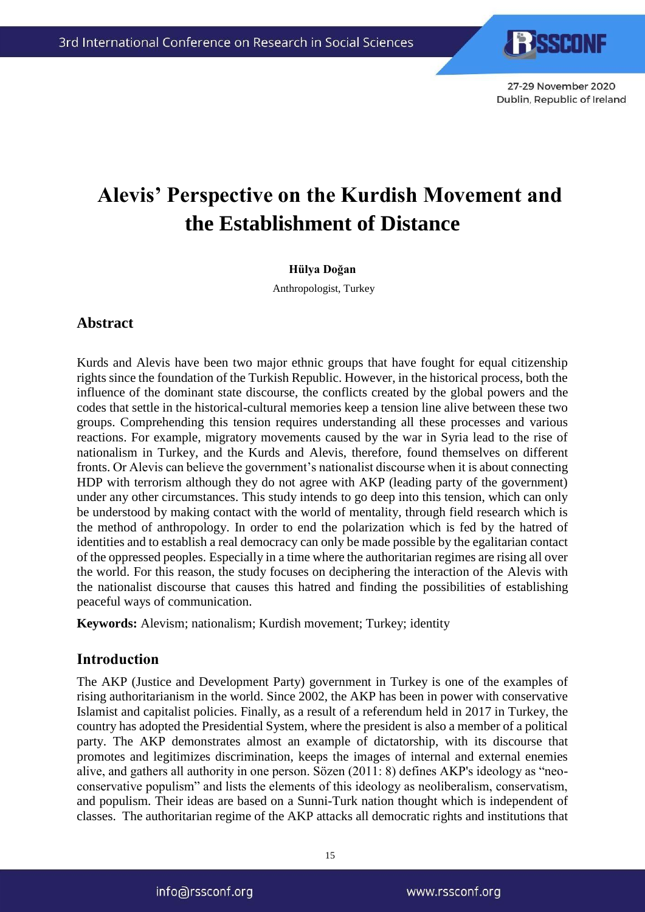# **Alevis' Perspective on the Kurdish Movement and the Establishment of Distance**

#### **Hülya Doğan**

Anthropologist, Turkey

#### **Abstract**

Kurds and Alevis have been two major ethnic groups that have fought for equal citizenship rights since the foundation of the Turkish Republic. However, in the historical process, both the influence of the dominant state discourse, the conflicts created by the global powers and the codes that settle in the historical-cultural memories keep a tension line alive between these two groups. Comprehending this tension requires understanding all these processes and various reactions. For example, migratory movements caused by the war in Syria lead to the rise of nationalism in Turkey, and the Kurds and Alevis, therefore, found themselves on different fronts. Or Alevis can believe the government's nationalist discourse when it is about connecting HDP with terrorism although they do not agree with AKP (leading party of the government) under any other circumstances. This study intends to go deep into this tension, which can only be understood by making contact with the world of mentality, through field research which is the method of anthropology. In order to end the polarization which is fed by the hatred of identities and to establish a real democracy can only be made possible by the egalitarian contact of the oppressed peoples. Especially in a time where the authoritarian regimes are rising all over the world. For this reason, the study focuses on deciphering the interaction of the Alevis with the nationalist discourse that causes this hatred and finding the possibilities of establishing peaceful ways of communication.

**Keywords:** Alevism; nationalism; Kurdish movement; Turkey; identity

#### **Introduction**

The AKP (Justice and Development Party) government in Turkey is one of the examples of rising authoritarianism in the world. Since 2002, the AKP has been in power with conservative Islamist and capitalist policies. Finally, as a result of a referendum held in 2017 in Turkey, the country has adopted the Presidential System, where the president is also a member of a political party. The AKP demonstrates almost an example of dictatorship, with its discourse that promotes and legitimizes discrimination, keeps the images of internal and external enemies alive, and gathers all authority in one person. Sözen (2011: 8) defines AKP's ideology as "neoconservative populism" and lists the elements of this ideology as neoliberalism, conservatism, and populism. Their ideas are based on a Sunni-Turk nation thought which is independent of classes. The authoritarian regime of the AKP attacks all democratic rights and institutions that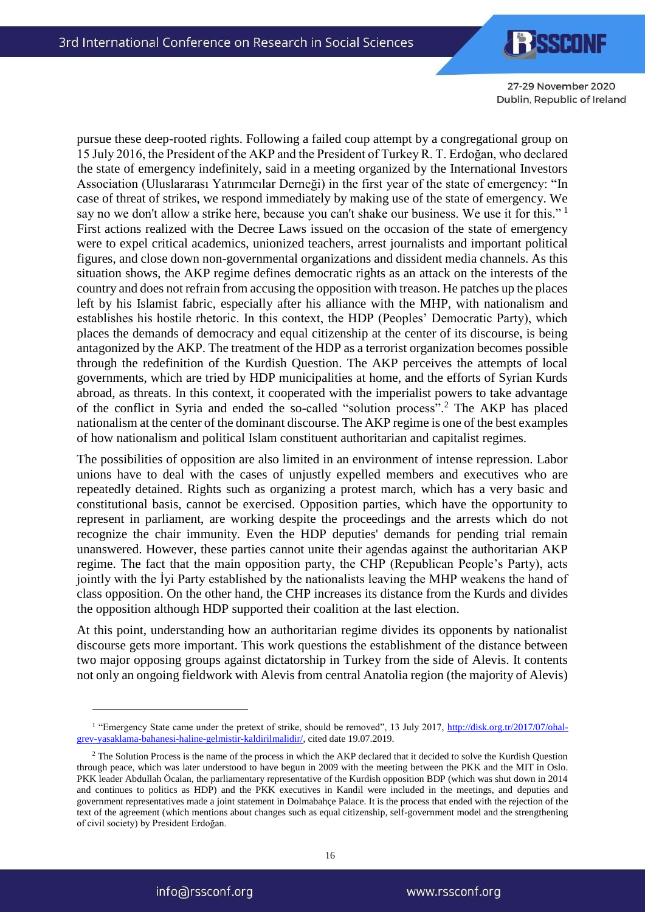pursue these deep-rooted rights. Following a failed coup attempt by a congregational group on 15 July 2016, the President of the AKP and the President of Turkey R. T. Erdoğan, who declared the state of emergency indefinitely, said in a meeting organized by the International Investors Association (Uluslararası Yatırımcılar Derneği) in the first year of the state of emergency: "In case of threat of strikes, we respond immediately by making use of the state of emergency. We say no we don't allow a strike here, because you can't shake our business. We use it for this."<sup>1</sup> First actions realized with the Decree Laws issued on the occasion of the state of emergency were to expel critical academics, unionized teachers, arrest journalists and important political figures, and close down non-governmental organizations and dissident media channels. As this situation shows, the AKP regime defines democratic rights as an attack on the interests of the country and does not refrain from accusing the opposition with treason. He patches up the places left by his Islamist fabric, especially after his alliance with the MHP, with nationalism and establishes his hostile rhetoric. In this context, the HDP (Peoples' Democratic Party), which places the demands of democracy and equal citizenship at the center of its discourse, is being antagonized by the AKP. The treatment of the HDP as a terrorist organization becomes possible through the redefinition of the Kurdish Question. The AKP perceives the attempts of local governments, which are tried by HDP municipalities at home, and the efforts of Syrian Kurds abroad, as threats. In this context, it cooperated with the imperialist powers to take advantage of the conflict in Syria and ended the so-called "solution process".<sup>2</sup> The AKP has placed nationalism at the center of the dominant discourse. The AKP regime is one of the best examples of how nationalism and political Islam constituent authoritarian and capitalist regimes.

The possibilities of opposition are also limited in an environment of intense repression. Labor unions have to deal with the cases of unjustly expelled members and executives who are repeatedly detained. Rights such as organizing a protest march, which has a very basic and constitutional basis, cannot be exercised. Opposition parties, which have the opportunity to represent in parliament, are working despite the proceedings and the arrests which do not recognize the chair immunity. Even the HDP deputies' demands for pending trial remain unanswered. However, these parties cannot unite their agendas against the authoritarian AKP regime. The fact that the main opposition party, the CHP (Republican People's Party), acts jointly with the İyi Party established by the nationalists leaving the MHP weakens the hand of class opposition. On the other hand, the CHP increases its distance from the Kurds and divides the opposition although HDP supported their coalition at the last election.

At this point, understanding how an authoritarian regime divides its opponents by nationalist discourse gets more important. This work questions the establishment of the distance between two major opposing groups against dictatorship in Turkey from the side of Alevis. It contents not only an ongoing fieldwork with Alevis from central Anatolia region (the majority of Alevis)

<sup>&</sup>lt;sup>1</sup> "Emergency State came under the pretext of strike, should be removed", 13 July 2017, [http://disk.org.tr/2017/07/ohal](http://disk.org.tr/2017/07/ohal-grev-yasaklama-bahanesi-haline-gelmistir-kaldirilmalidir/)[grev-yasaklama-bahanesi-haline-gelmistir-kaldirilmalidir/,](http://disk.org.tr/2017/07/ohal-grev-yasaklama-bahanesi-haline-gelmistir-kaldirilmalidir/) cited date 19.07.2019.

<sup>&</sup>lt;sup>2</sup> The Solution Process is the name of the process in which the AKP declared that it decided to solve the Kurdish Question through peace, which was later understood to have begun in 2009 with the meeting between the PKK and the MIT in Oslo. PKK leader Abdullah Öcalan, the parliamentary representative of the Kurdish opposition BDP (which was shut down in 2014 and continues to politics as HDP) and the PKK executives in Kandil were included in the meetings, and deputies and government representatives made a joint statement in Dolmabahçe Palace. It is the process that ended with the rejection of the text of the agreement (which mentions about changes such as equal citizenship, self-government model and the strengthening of civil society) by President Erdoğan.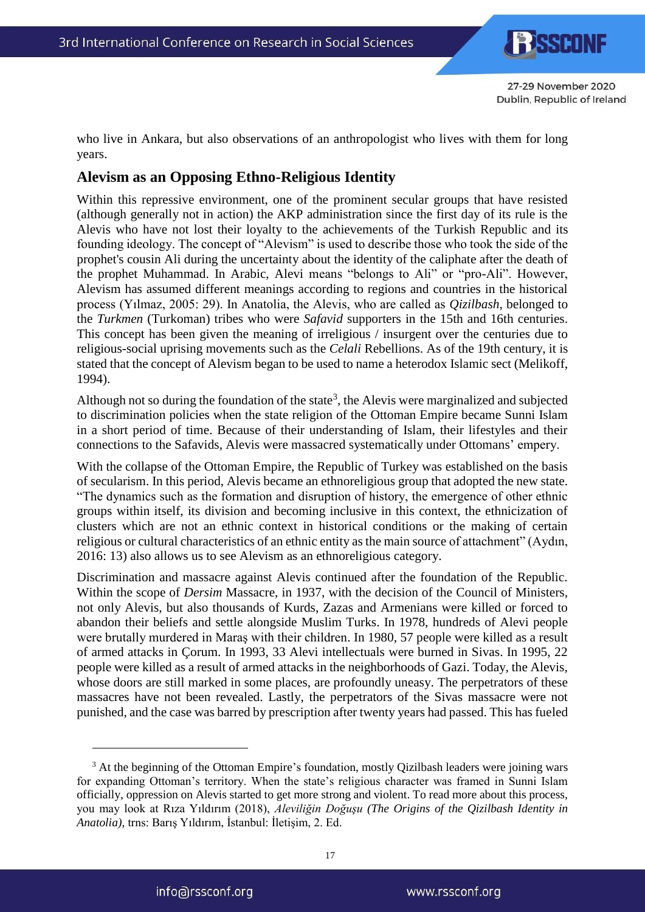

who live in Ankara, but also observations of an anthropologist who lives with them for long years.

# **Alevism as an Opposing Ethno-Religious Identity**

Within this repressive environment, one of the prominent secular groups that have resisted (although generally not in action) the AKP administration since the first day of its rule is the Alevis who have not lost their loyalty to the achievements of the Turkish Republic and its founding ideology. The concept of "Alevism" is used to describe those who took the side of the prophet's cousin Ali during the uncertainty about the identity of the caliphate after the death of the prophet Muhammad. In Arabic, Alevi means "belongs to Ali" or "pro-Ali". However, Alevism has assumed different meanings according to regions and countries in the historical process (Yılmaz, 2005: 29). In Anatolia, the Alevis, who are called as *Qizilbash*, belonged to the *Turkmen* (Turkoman) tribes who were *Safavid* supporters in the 15th and 16th centuries. This concept has been given the meaning of irreligious / insurgent over the centuries due to religious-social uprising movements such as the *Celali* Rebellions. As of the 19th century, it is stated that the concept of Alevism began to be used to name a heterodox Islamic sect (Melikoff, 1994).

Although not so during the foundation of the state<sup>3</sup>, the Alevis were marginalized and subjected to discrimination policies when the state religion of the Ottoman Empire became Sunni Islam in a short period of time. Because of their understanding of Islam, their lifestyles and their connections to the Safavids, Alevis were massacred systematically under Ottomans' empery.

With the collapse of the Ottoman Empire, the Republic of Turkey was established on the basis of secularism. In this period, Alevis became an ethnoreligious group that adopted the new state. "The dynamics such as the formation and disruption of history, the emergence of other ethnic groups within itself, its division and becoming inclusive in this context, the ethnicization of clusters which are not an ethnic context in historical conditions or the making of certain religious or cultural characteristics of an ethnic entity as the main source of attachment" (Aydın, 2016: 13) also allows us to see Alevism as an ethnoreligious category.

Discrimination and massacre against Alevis continued after the foundation of the Republic. Within the scope of *Dersim* Massacre, in 1937, with the decision of the Council of Ministers, not only Alevis, but also thousands of Kurds, Zazas and Armenians were killed or forced to abandon their beliefs and settle alongside Muslim Turks. In 1978, hundreds of Alevi people were brutally murdered in Maraş with their children. In 1980, 57 people were killed as a result of armed attacks in Çorum. In 1993, 33 Alevi intellectuals were burned in Sivas. In 1995, 22 people were killed as a result of armed attacks in the neighborhoods of Gazi. Today, the Alevis, whose doors are still marked in some places, are profoundly uneasy. The perpetrators of these massacres have not been revealed. Lastly, the perpetrators of the Sivas massacre were not punished, and the case was barred by prescription after twenty years had passed. This has fueled

<sup>&</sup>lt;sup>3</sup> At the beginning of the Ottoman Empire's foundation, mostly Oizilbash leaders were joining wars for expanding Ottoman's territory. When the state's religious character was framed in Sunni Islam officially, oppression on Alevis started to get more strong and violent. To read more about this process, you may look at Rıza Yıldırım (2018), *Aleviliğin Doğuşu (The Origins of the Qizilbash Identity in Anatolia),* trns: Barış Yıldırım, İstanbul: İletişim, 2. Ed.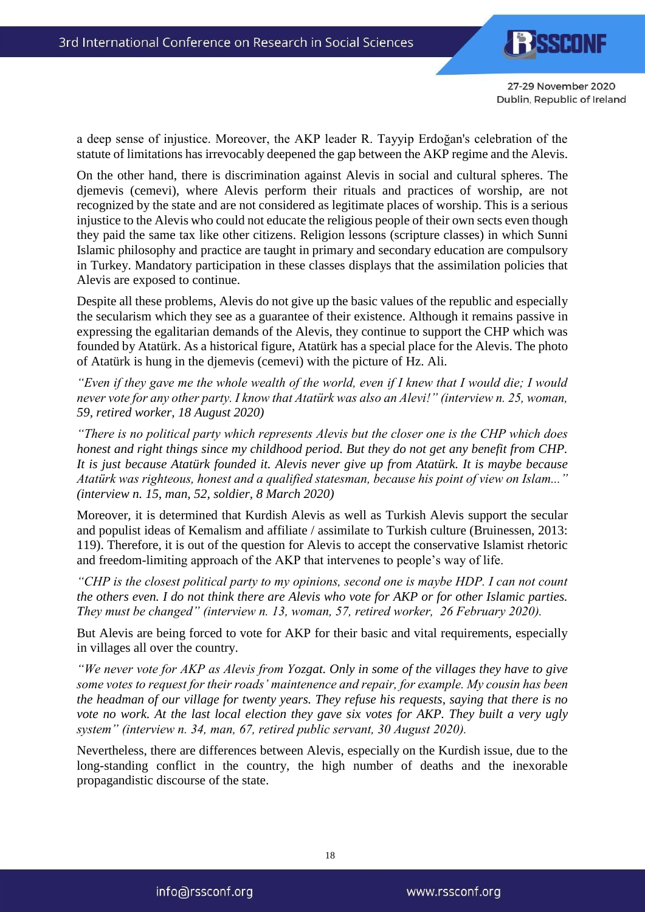a deep sense of injustice. Moreover, the AKP leader R. Tayyip Erdoğan's celebration of the statute of limitations has irrevocably deepened the gap between the AKP regime and the Alevis.

On the other hand, there is discrimination against Alevis in social and cultural spheres. The djemevis (cemevi), where Alevis perform their rituals and practices of worship, are not recognized by the state and are not considered as legitimate places of worship. This is a serious injustice to the Alevis who could not educate the religious people of their own sects even though they paid the same tax like other citizens. Religion lessons (scripture classes) in which Sunni Islamic philosophy and practice are taught in primary and secondary education are compulsory in Turkey. Mandatory participation in these classes displays that the assimilation policies that Alevis are exposed to continue.

Despite all these problems, Alevis do not give up the basic values of the republic and especially the secularism which they see as a guarantee of their existence. Although it remains passive in expressing the egalitarian demands of the Alevis, they continue to support the CHP which was founded by Atatürk. As a historical figure, Atatürk has a special place for the Alevis. The photo of Atatürk is hung in the djemevis (cemevi) with the picture of Hz. Ali.

*"Even if they gave me the whole wealth of the world, even if I knew that I would die; I would never vote for any other party. I know that Atatürk was also an Alevi!" (interview n. 25, woman, 59, retired worker, 18 August 2020)*

*"There is no political party which represents Alevis but the closer one is the CHP which does honest and right things since my childhood period. But they do not get any benefit from CHP. It is just because Atatürk founded it. Alevis never give up from Atatürk. It is maybe because Atatürk was righteous, honest and a qualified statesman, because his point of view on Islam..." (interview n. 15, man, 52, soldier, 8 March 2020)*

Moreover, it is determined that Kurdish Alevis as well as Turkish Alevis support the secular and populist ideas of Kemalism and affiliate / assimilate to Turkish culture (Bruinessen, 2013: 119). Therefore, it is out of the question for Alevis to accept the conservative Islamist rhetoric and freedom-limiting approach of the AKP that intervenes to people's way of life.

*"CHP is the closest political party to my opinions, second one is maybe HDP. I can not count the others even. I do not think there are Alevis who vote for AKP or for other Islamic parties. They must be changed" (interview n. 13, woman, 57, retired worker, 26 February 2020).* 

But Alevis are being forced to vote for AKP for their basic and vital requirements, especially in villages all over the country.

*"We never vote for AKP as Alevis from Yozgat. Only in some of the villages they have to give some votes to request for their roads' maintenence and repair, for example. My cousin has been the headman of our village for twenty years. They refuse his requests, saying that there is no vote no work. At the last local election they gave six votes for AKP. They built a very ugly system" (interview n. 34, man, 67, retired public servant, 30 August 2020).* 

Nevertheless, there are differences between Alevis, especially on the Kurdish issue, due to the long-standing conflict in the country, the high number of deaths and the inexorable propagandistic discourse of the state.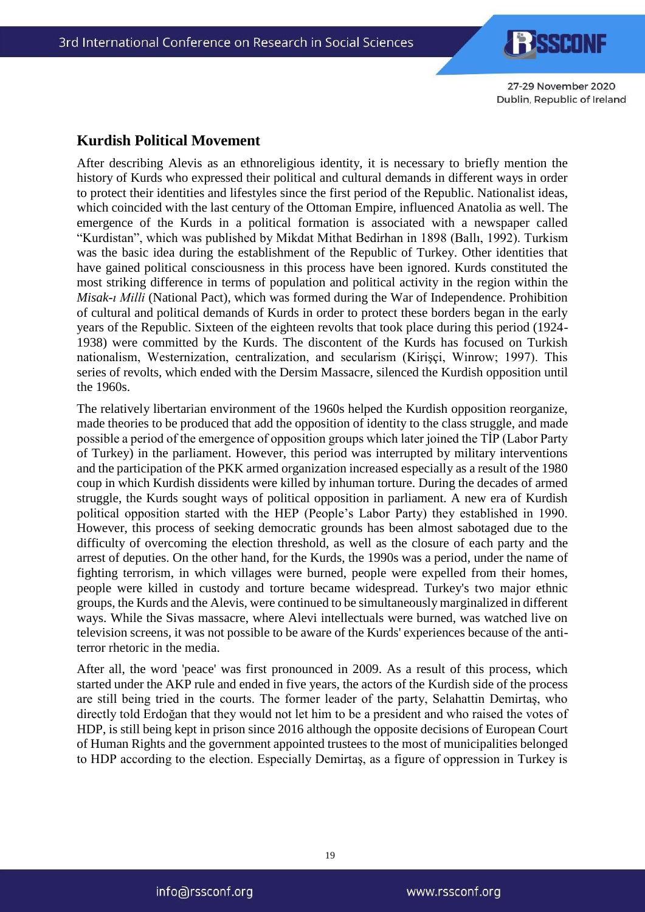# **Kurdish Political Movement**

After describing Alevis as an ethnoreligious identity, it is necessary to briefly mention the history of Kurds who expressed their political and cultural demands in different ways in order to protect their identities and lifestyles since the first period of the Republic. Nationalist ideas, which coincided with the last century of the Ottoman Empire, influenced Anatolia as well. The emergence of the Kurds in a political formation is associated with a newspaper called "Kurdistan", which was published by Mikdat Mithat Bedirhan in 1898 (Ballı, 1992). Turkism was the basic idea during the establishment of the Republic of Turkey. Other identities that have gained political consciousness in this process have been ignored. Kurds constituted the most striking difference in terms of population and political activity in the region within the *Misak-ı Milli* (National Pact), which was formed during the War of Independence. Prohibition of cultural and political demands of Kurds in order to protect these borders began in the early years of the Republic. Sixteen of the eighteen revolts that took place during this period (1924- 1938) were committed by the Kurds. The discontent of the Kurds has focused on Turkish nationalism, Westernization, centralization, and secularism (Kirişçi, Winrow; 1997). This series of revolts, which ended with the Dersim Massacre, silenced the Kurdish opposition until the 1960s.

The relatively libertarian environment of the 1960s helped the Kurdish opposition reorganize, made theories to be produced that add the opposition of identity to the class struggle, and made possible a period of the emergence of opposition groups which later joined the TİP (Labor Party of Turkey) in the parliament. However, this period was interrupted by military interventions and the participation of the PKK armed organization increased especially as a result of the 1980 coup in which Kurdish dissidents were killed by inhuman torture. During the decades of armed struggle, the Kurds sought ways of political opposition in parliament. A new era of Kurdish political opposition started with the HEP (People's Labor Party) they established in 1990. However, this process of seeking democratic grounds has been almost sabotaged due to the difficulty of overcoming the election threshold, as well as the closure of each party and the arrest of deputies. On the other hand, for the Kurds, the 1990s was a period, under the name of fighting terrorism, in which villages were burned, people were expelled from their homes, people were killed in custody and torture became widespread. Turkey's two major ethnic groups, the Kurds and the Alevis, were continued to be simultaneously marginalized in different ways. While the Sivas massacre, where Alevi intellectuals were burned, was watched live on television screens, it was not possible to be aware of the Kurds' experiences because of the antiterror rhetoric in the media.

After all, the word 'peace' was first pronounced in 2009. As a result of this process, which started under the AKP rule and ended in five years, the actors of the Kurdish side of the process are still being tried in the courts. The former leader of the party, Selahattin Demirtaş, who directly told Erdoğan that they would not let him to be a president and who raised the votes of HDP, is still being kept in prison since 2016 although the opposite decisions of European Court of Human Rights and the government appointed trustees to the most of municipalities belonged to HDP according to the election. Especially Demirtaş, as a figure of oppression in Turkey is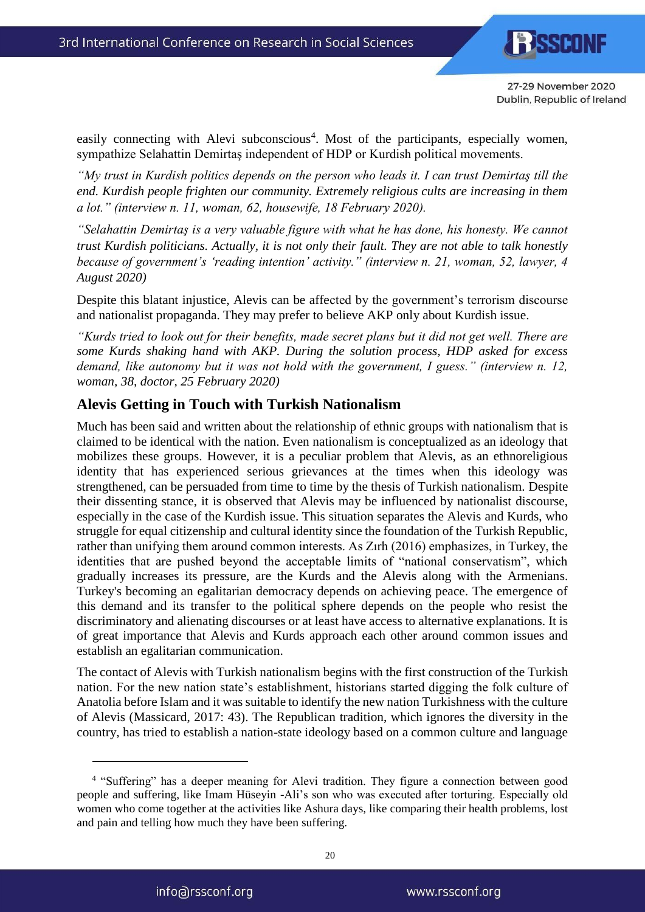easily connecting with Alevi subconscious<sup>4</sup>. Most of the participants, especially women, sympathize Selahattin Demirtaş independent of HDP or Kurdish political movements.

*"My trust in Kurdish politics depends on the person who leads it. I can trust Demirtaş till the end. Kurdish people frighten our community. Extremely religious cults are increasing in them a lot." (interview n. 11, woman, 62, housewife, 18 February 2020).* 

*"Selahattin Demirtaş is a very valuable figure with what he has done, his honesty. We cannot trust Kurdish politicians. Actually, it is not only their fault. They are not able to talk honestly because of government's 'reading intention' activity." (interview n. 21, woman, 52, lawyer, 4 August 2020)* 

Despite this blatant injustice, Alevis can be affected by the government's terrorism discourse and nationalist propaganda. They may prefer to believe AKP only about Kurdish issue.

*"Kurds tried to look out for their benefits, made secret plans but it did not get well. There are some Kurds shaking hand with AKP. During the solution process, HDP asked for excess demand, like autonomy but it was not hold with the government, I guess." (interview n. 12, woman, 38, doctor, 25 February 2020)*

# **Alevis Getting in Touch with Turkish Nationalism**

Much has been said and written about the relationship of ethnic groups with nationalism that is claimed to be identical with the nation. Even nationalism is conceptualized as an ideology that mobilizes these groups. However, it is a peculiar problem that Alevis, as an ethnoreligious identity that has experienced serious grievances at the times when this ideology was strengthened, can be persuaded from time to time by the thesis of Turkish nationalism. Despite their dissenting stance, it is observed that Alevis may be influenced by nationalist discourse, especially in the case of the Kurdish issue. This situation separates the Alevis and Kurds, who struggle for equal citizenship and cultural identity since the foundation of the Turkish Republic, rather than unifying them around common interests. As Zırh (2016) emphasizes, in Turkey, the identities that are pushed beyond the acceptable limits of "national conservatism", which gradually increases its pressure, are the Kurds and the Alevis along with the Armenians. Turkey's becoming an egalitarian democracy depends on achieving peace. The emergence of this demand and its transfer to the political sphere depends on the people who resist the discriminatory and alienating discourses or at least have access to alternative explanations. It is of great importance that Alevis and Kurds approach each other around common issues and establish an egalitarian communication.

The contact of Alevis with Turkish nationalism begins with the first construction of the Turkish nation. For the new nation state's establishment, historians started digging the folk culture of Anatolia before Islam and it was suitable to identify the new nation Turkishness with the culture of Alevis (Massicard, 2017: 43). The Republican tradition, which ignores the diversity in the country, has tried to establish a nation-state ideology based on a common culture and language

1

<sup>&</sup>lt;sup>4</sup> "Suffering" has a deeper meaning for Alevi tradition. They figure a connection between good people and suffering, like Imam Hüseyin -Ali's son who was executed after torturing. Especially old women who come together at the activities like Ashura days, like comparing their health problems, lost and pain and telling how much they have been suffering.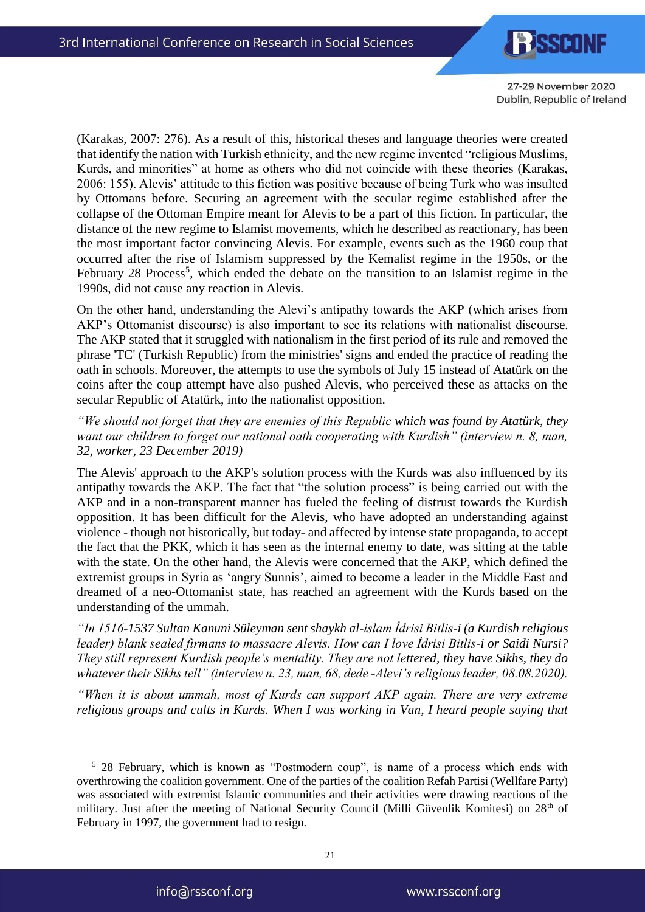(Karakas, 2007: 276). As a result of this, historical theses and language theories were created that identify the nation with Turkish ethnicity, and the new regime invented "religious Muslims, Kurds, and minorities" at home as others who did not coincide with these theories (Karakas, 2006: 155). Alevis' attitude to this fiction was positive because of being Turk who was insulted by Ottomans before. Securing an agreement with the secular regime established after the collapse of the Ottoman Empire meant for Alevis to be a part of this fiction. In particular, the distance of the new regime to Islamist movements, which he described as reactionary, has been the most important factor convincing Alevis. For example, events such as the 1960 coup that occurred after the rise of Islamism suppressed by the Kemalist regime in the 1950s, or the February 28 Process<sup>5</sup>, which ended the debate on the transition to an Islamist regime in the 1990s, did not cause any reaction in Alevis.

On the other hand, understanding the Alevi's antipathy towards the AKP (which arises from AKP's Ottomanist discourse) is also important to see its relations with nationalist discourse. The AKP stated that it struggled with nationalism in the first period of its rule and removed the phrase 'TC' (Turkish Republic) from the ministries' signs and ended the practice of reading the oath in schools. Moreover, the attempts to use the symbols of July 15 instead of Atatürk on the coins after the coup attempt have also pushed Alevis, who perceived these as attacks on the secular Republic of Atatürk, into the nationalist opposition.

*"We should not forget that they are enemies of this Republic which was found by Atatürk, they want our children to forget our national oath cooperating with Kurdish" (interview n. 8, man, 32, worker, 23 December 2019)*

The Alevis' approach to the AKP's solution process with the Kurds was also influenced by its antipathy towards the AKP. The fact that "the solution process" is being carried out with the AKP and in a non-transparent manner has fueled the feeling of distrust towards the Kurdish opposition. It has been difficult for the Alevis, who have adopted an understanding against violence - though not historically, but today- and affected by intense state propaganda, to accept the fact that the PKK, which it has seen as the internal enemy to date, was sitting at the table with the state. On the other hand, the Alevis were concerned that the AKP, which defined the extremist groups in Syria as 'angry Sunnis', aimed to become a leader in the Middle East and dreamed of a neo-Ottomanist state, has reached an agreement with the Kurds based on the understanding of the ummah.

*"In 1516-1537 Sultan Kanuni Süleyman sent shaykh al-islam İdrisi Bitlis-i (a Kurdish religious leader) blank sealed firmans to massacre Alevis. How can I love İdrisi Bitlis-i or Saidi Nursi? They still represent Kurdish people's mentality. They are not lettered, they have Sikhs, they do whatever their Sikhs tell" (interview n. 23, man, 68, dede -Alevi's religious leader, 08.08.2020).* 

*"When it is about ummah, most of Kurds can support AKP again. There are very extreme religious groups and cults in Kurds. When I was working in Van, I heard people saying that* 

<sup>5</sup> 28 February, which is known as "Postmodern coup", is name of a process which ends with overthrowing the coalition government. One of the parties of the coalition Refah Partisi (Wellfare Party) was associated with extremist Islamic communities and their activities were drawing reactions of the military. Just after the meeting of National Security Council (Milli Güvenlik Komitesi) on 28<sup>th</sup> of February in 1997, the government had to resign.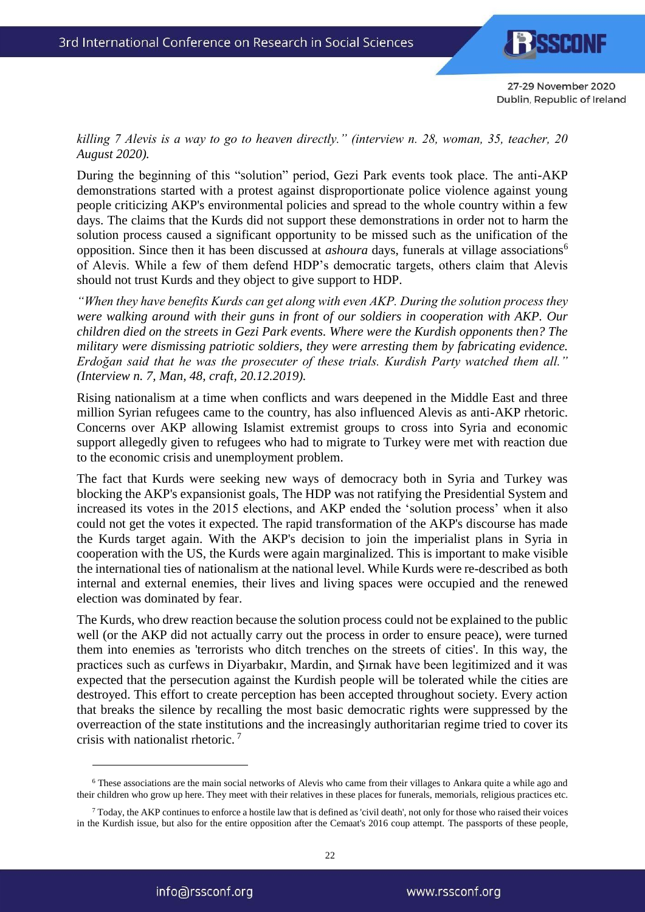*killing 7 Alevis is a way to go to heaven directly." (interview n. 28, woman, 35, teacher, 20 August 2020).* 

During the beginning of this "solution" period, Gezi Park events took place. The anti-AKP demonstrations started with a protest against disproportionate police violence against young people criticizing AKP's environmental policies and spread to the whole country within a few days. The claims that the Kurds did not support these demonstrations in order not to harm the solution process caused a significant opportunity to be missed such as the unification of the opposition. Since then it has been discussed at *ashoura* days, funerals at village associations<sup>6</sup> of Alevis. While a few of them defend HDP's democratic targets, others claim that Alevis should not trust Kurds and they object to give support to HDP.

*"When they have benefits Kurds can get along with even AKP. During the solution process they were walking around with their guns in front of our soldiers in cooperation with AKP. Our children died on the streets in Gezi Park events. Where were the Kurdish opponents then? The military were dismissing patriotic soldiers, they were arresting them by fabricating evidence. Erdoğan said that he was the prosecuter of these trials. Kurdish Party watched them all." (Interview n. 7, Man, 48, craft, 20.12.2019).* 

Rising nationalism at a time when conflicts and wars deepened in the Middle East and three million Syrian refugees came to the country, has also influenced Alevis as anti-AKP rhetoric. Concerns over AKP allowing Islamist extremist groups to cross into Syria and economic support allegedly given to refugees who had to migrate to Turkey were met with reaction due to the economic crisis and unemployment problem.

The fact that Kurds were seeking new ways of democracy both in Syria and Turkey was blocking the AKP's expansionist goals, The HDP was not ratifying the Presidential System and increased its votes in the 2015 elections, and AKP ended the 'solution process' when it also could not get the votes it expected. The rapid transformation of the AKP's discourse has made the Kurds target again. With the AKP's decision to join the imperialist plans in Syria in cooperation with the US, the Kurds were again marginalized. This is important to make visible the international ties of nationalism at the national level. While Kurds were re-described as both internal and external enemies, their lives and living spaces were occupied and the renewed election was dominated by fear.

The Kurds, who drew reaction because the solution process could not be explained to the public well (or the AKP did not actually carry out the process in order to ensure peace), were turned them into enemies as 'terrorists who ditch trenches on the streets of cities'. In this way, the practices such as curfews in Diyarbakır, Mardin, and Şırnak have been legitimized and it was expected that the persecution against the Kurdish people will be tolerated while the cities are destroyed. This effort to create perception has been accepted throughout society. Every action that breaks the silence by recalling the most basic democratic rights were suppressed by the overreaction of the state institutions and the increasingly authoritarian regime tried to cover its crisis with nationalist rhetoric. <sup>7</sup>

<sup>6</sup> These associations are the main social networks of Alevis who came from their villages to Ankara quite a while ago and their children who grow up here. They meet with their relatives in these places for funerals, memorials, religious practices etc.

 $7$  Today, the AKP continues to enforce a hostile law that is defined as 'civil death', not only for those who raised their voices in the Kurdish issue, but also for the entire opposition after the Cemaat's 2016 coup attempt. The passports of these people,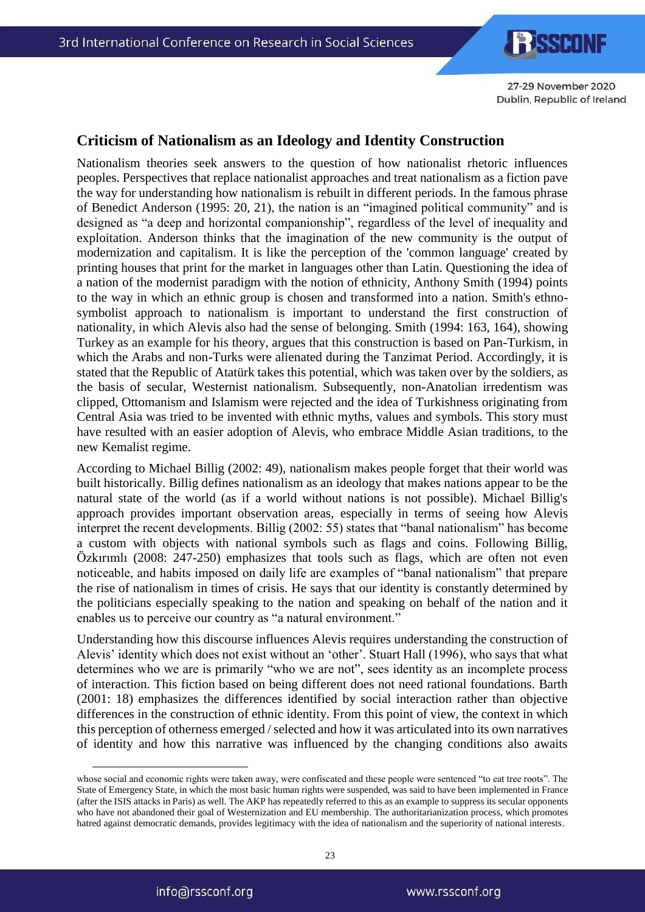# **Criticism of Nationalism as an Ideology and Identity Construction**

Nationalism theories seek answers to the question of how nationalist rhetoric influences peoples. Perspectives that replace nationalist approaches and treat nationalism as a fiction pave the way for understanding how nationalism is rebuilt in different periods. In the famous phrase of Benedict Anderson (1995: 20, 21), the nation is an "imagined political community" and is designed as "a deep and horizontal companionship", regardless of the level of inequality and exploitation. Anderson thinks that the imagination of the new community is the output of modernization and capitalism. It is like the perception of the 'common language' created by printing houses that print for the market in languages other than Latin. Questioning the idea of a nation of the modernist paradigm with the notion of ethnicity, Anthony Smith (1994) points to the way in which an ethnic group is chosen and transformed into a nation. Smith's ethnosymbolist approach to nationalism is important to understand the first construction of nationality, in which Alevis also had the sense of belonging. Smith (1994: 163, 164), showing Turkey as an example for his theory, argues that this construction is based on Pan-Turkism, in which the Arabs and non-Turks were alienated during the Tanzimat Period. Accordingly, it is stated that the Republic of Atatürk takes this potential, which was taken over by the soldiers, as the basis of secular, Westernist nationalism. Subsequently, non-Anatolian irredentism was clipped, Ottomanism and Islamism were rejected and the idea of Turkishness originating from Central Asia was tried to be invented with ethnic myths, values and symbols. This story must have resulted with an easier adoption of Alevis, who embrace Middle Asian traditions, to the new Kemalist regime.

According to Michael Billig (2002: 49), nationalism makes people forget that their world was built historically. Billig defines nationalism as an ideology that makes nations appear to be the natural state of the world (as if a world without nations is not possible). Michael Billig's approach provides important observation areas, especially in terms of seeing how Alevis interpret the recent developments. Billig (2002: 55) states that "banal nationalism" has become a custom with objects with national symbols such as flags and coins. Following Billig, Özkırımlı (2008: 247-250) emphasizes that tools such as flags, which are often not even noticeable, and habits imposed on daily life are examples of "banal nationalism" that prepare the rise of nationalism in times of crisis. He says that our identity is constantly determined by the politicians especially speaking to the nation and speaking on behalf of the nation and it enables us to perceive our country as "a natural environment."

Understanding how this discourse influences Alevis requires understanding the construction of Alevis' identity which does not exist without an 'other'. Stuart Hall (1996), who says that what determines who we are is primarily "who we are not", sees identity as an incomplete process of interaction. This fiction based on being different does not need rational foundations. Barth (2001: 18) emphasizes the differences identified by social interaction rather than objective differences in the construction of ethnic identity. From this point of view, the context in which this perception of otherness emerged / selected and how it was articulated into its own narratives of identity and how this narrative was influenced by the changing conditions also awaits

1

whose social and economic rights were taken away, were confiscated and these people were sentenced "to eat tree roots". The State of Emergency State, in which the most basic human rights were suspended, was said to have been implemented in France (after the ISIS attacks in Paris) as well. The AKP has repeatedly referred to this as an example to suppress its secular opponents who have not abandoned their goal of Westernization and EU membership. The authoritarianization process, which promotes hatred against democratic demands, provides legitimacy with the idea of nationalism and the superiority of national interests.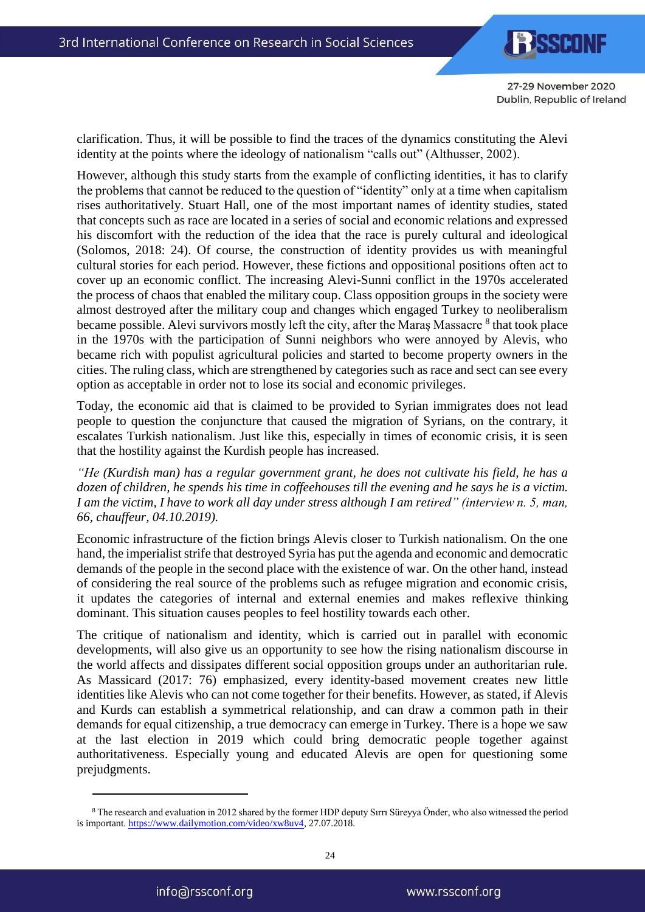clarification. Thus, it will be possible to find the traces of the dynamics constituting the Alevi identity at the points where the ideology of nationalism "calls out" (Althusser, 2002).

However, although this study starts from the example of conflicting identities, it has to clarify the problems that cannot be reduced to the question of "identity" only at a time when capitalism rises authoritatively. Stuart Hall, one of the most important names of identity studies, stated that concepts such as race are located in a series of social and economic relations and expressed his discomfort with the reduction of the idea that the race is purely cultural and ideological (Solomos, 2018: 24). Of course, the construction of identity provides us with meaningful cultural stories for each period. However, these fictions and oppositional positions often act to cover up an economic conflict. The increasing Alevi-Sunni conflict in the 1970s accelerated the process of chaos that enabled the military coup. Class opposition groups in the society were almost destroyed after the military coup and changes which engaged Turkey to neoliberalism became possible. Alevi survivors mostly left the city, after the Maraş Massacre  $^8$  that took place in the 1970s with the participation of Sunni neighbors who were annoyed by Alevis, who became rich with populist agricultural policies and started to become property owners in the cities. The ruling class, which are strengthened by categories such as race and sect can see every option as acceptable in order not to lose its social and economic privileges.

Today, the economic aid that is claimed to be provided to Syrian immigrates does not lead people to question the conjuncture that caused the migration of Syrians, on the contrary, it escalates Turkish nationalism. Just like this, especially in times of economic crisis, it is seen that the hostility against the Kurdish people has increased.

*"He (Kurdish man) has a regular government grant, he does not cultivate his field, he has a dozen of children, he spends his time in coffeehouses till the evening and he says he is a victim. I am the victim, I have to work all day under stress although I am retired" (interview n. 5, man, 66, chauffeur, 04.10.2019).* 

Economic infrastructure of the fiction brings Alevis closer to Turkish nationalism. On the one hand, the imperialist strife that destroyed Syria has put the agenda and economic and democratic demands of the people in the second place with the existence of war. On the other hand, instead of considering the real source of the problems such as refugee migration and economic crisis, it updates the categories of internal and external enemies and makes reflexive thinking dominant. This situation causes peoples to feel hostility towards each other.

The critique of nationalism and identity, which is carried out in parallel with economic developments, will also give us an opportunity to see how the rising nationalism discourse in the world affects and dissipates different social opposition groups under an authoritarian rule. As Massicard (2017: 76) emphasized, every identity-based movement creates new little identities like Alevis who can not come together for their benefits. However, as stated, if Alevis and Kurds can establish a symmetrical relationship, and can draw a common path in their demands for equal citizenship, a true democracy can emerge in Turkey. There is a hope we saw at the last election in 2019 which could bring democratic people together against authoritativeness. Especially young and educated Alevis are open for questioning some prejudgments.

<sup>&</sup>lt;sup>8</sup> The research and evaluation in 2012 shared by the former HDP deputy Sırrı Süreyya Önder, who also witnessed the period is important[. https://www.dailymotion.com/video/xw8uv4,](https://www.dailymotion.com/video/xw8uv4) 27.07.2018.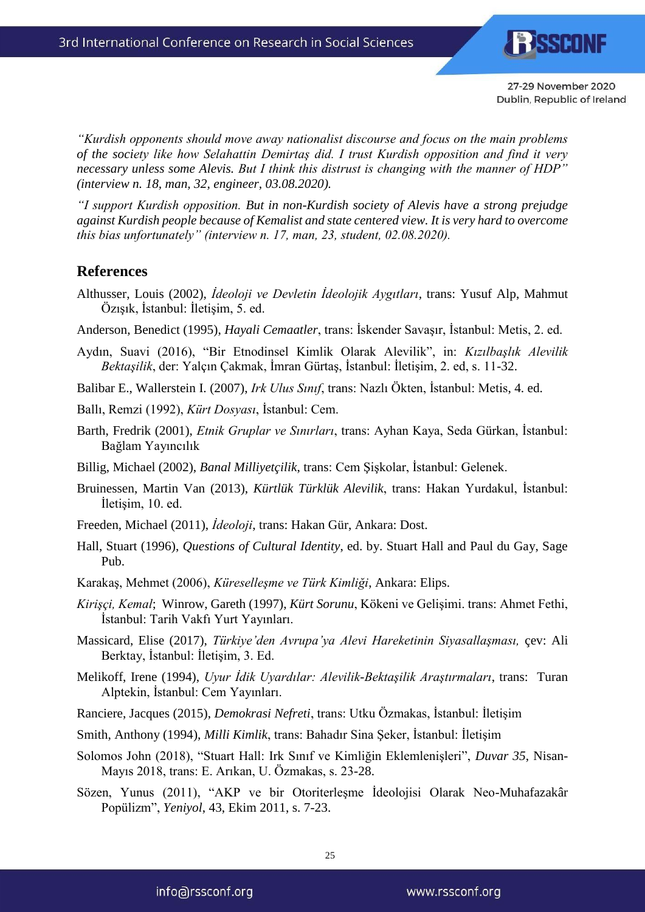*"Kurdish opponents should move away nationalist discourse and focus on the main problems of the society like how Selahattin Demirtaş did. I trust Kurdish opposition and find it very necessary unless some Alevis. But I think this distrust is changing with the manner of HDP" (interview n. 18, man, 32, engineer, 03.08.2020).* 

*"I support Kurdish opposition. But in non-Kurdish society of Alevis have a strong prejudge against Kurdish people because of Kemalist and state centered view. It is very hard to overcome this bias unfortunately" (interview n. 17, man, 23, student, 02.08.2020).* 

#### **References**

- Althusser, Louis (2002), *İdeoloji ve Devletin İdeolojik Aygıtları,* trans: Yusuf Alp, Mahmut Özışık, İstanbul: İletişim, 5. ed.
- Anderson, Benedict (1995), *Hayali Cemaatler*, trans: İskender Savaşır, İstanbul: Metis, 2. ed.
- Aydın, Suavi (2016), "Bir Etnodinsel Kimlik Olarak Alevilik", in: *Kızılbaşlık Alevilik Bektaşilik*, der: Yalçın Çakmak, İmran Gürtaş, İstanbul: İletişim, 2. ed, s. 11-32.
- Balibar E., Wallerstein I. (2007), *Irk Ulus Sınıf*, trans: Nazlı Ökten, İstanbul: Metis, 4. ed.
- Ballı, Remzi (1992), *Kürt Dosyası*, İstanbul: Cem.
- Barth, Fredrik (2001), *Etnik Gruplar ve Sınırları*, trans: Ayhan Kaya, Seda Gürkan, İstanbul: Bağlam Yayıncılık
- Billig, Michael (2002), *Banal Milliyetçilik*, trans: Cem Şişkolar, İstanbul: Gelenek.
- Bruinessen, Martin Van (2013), *Kürtlük Türklük Alevilik*, trans: Hakan Yurdakul, İstanbul: İletişim, 10. ed.
- Freeden, Michael (2011), *İdeoloji*, trans: Hakan Gür, Ankara: Dost.
- Hall, Stuart (1996), *Questions of Cultural Identity*, ed. by. Stuart Hall and Paul du Gay, Sage Pub.
- Karakaş, Mehmet (2006), *Küreselleşme ve Türk Kimliği*, Ankara: Elips.
- *Kirişçi, Kemal*; Winrow, Gareth (1997), *Kürt Sorunu*, Kökeni ve Gelişimi. trans: Ahmet Fethi, İstanbul: Tarih Vakfı Yurt Yayınları.
- Massicard, Elise (2017), *Türkiye'den Avrupa'ya Alevi Hareketinin Siyasallaşması,* çev: Ali Berktay, İstanbul: İletişim, 3. Ed.
- Melikoff, Irene (1994), *Uyur İdik Uyardılar: Alevilik-Bektaşilik Araştırmaları*, trans: Turan Alptekin, İstanbul: Cem Yayınları.
- Ranciere, Jacques (2015), *Demokrasi Nefreti*, trans: Utku Özmakas, İstanbul: İletişim
- Smith, Anthony (1994), *Milli Kimlik*, trans: Bahadır Sina Şeker, İstanbul: İletişim
- Solomos John (2018), "Stuart Hall: Irk Sınıf ve Kimliğin Eklemlenişleri", *Duvar 35*, Nisan-Mayıs 2018, trans: E. Arıkan, U. Özmakas, s. 23-28.
- Sözen, Yunus (2011), "AKP ve bir Otoriterleşme İdeolojisi Olarak Neo-Muhafazakâr Popülizm", *Yeniyol*, 43, Ekim 2011, s. 7-23.